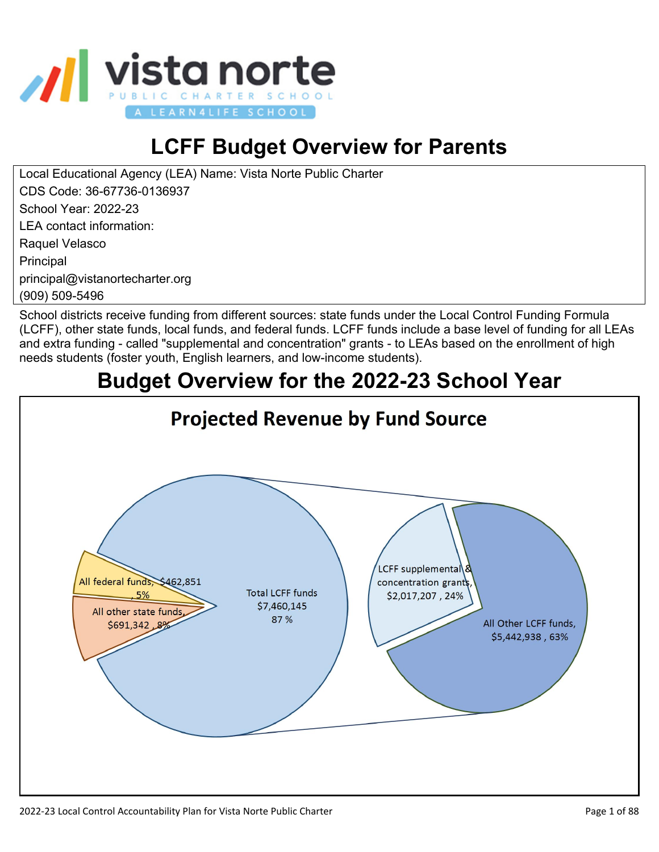

# **LCFF Budget Overview for Parents**

Local Educational Agency (LEA) Name: Vista Norte Public Charter CDS Code: 36-67736-0136937 School Year: 2022-23 LEA contact information: Raquel Velasco Principal principal@vistanortecharter.org (909) 509-5496

School districts receive funding from different sources: state funds under the Local Control Funding Formula (LCFF), other state funds, local funds, and federal funds. LCFF funds include a base level of funding for all LEAs and extra funding - called "supplemental and concentration" grants - to LEAs based on the enrollment of high needs students (foster youth, English learners, and low-income students).

# **Budget Overview for the 2022-23 School Year**

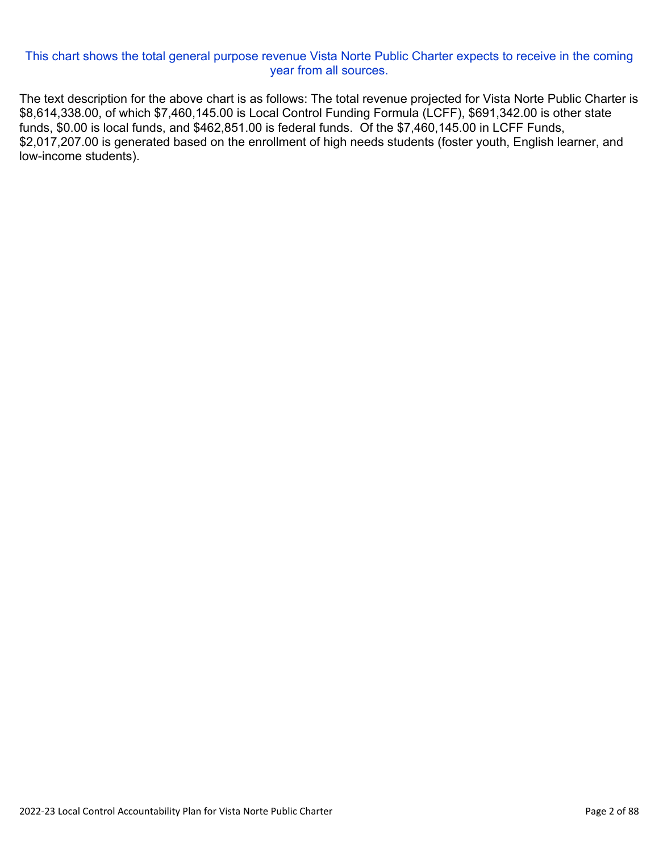#### This chart shows the total general purpose revenue Vista Norte Public Charter expects to receive in the coming year from all sources.

The text description for the above chart is as follows: The total revenue projected for Vista Norte Public Charter is \$8,614,338.00, of which \$7,460,145.00 is Local Control Funding Formula (LCFF), \$691,342.00 is other state funds, \$0.00 is local funds, and \$462,851.00 is federal funds. Of the \$7,460,145.00 in LCFF Funds, \$2,017,207.00 is generated based on the enrollment of high needs students (foster youth, English learner, and low-income students).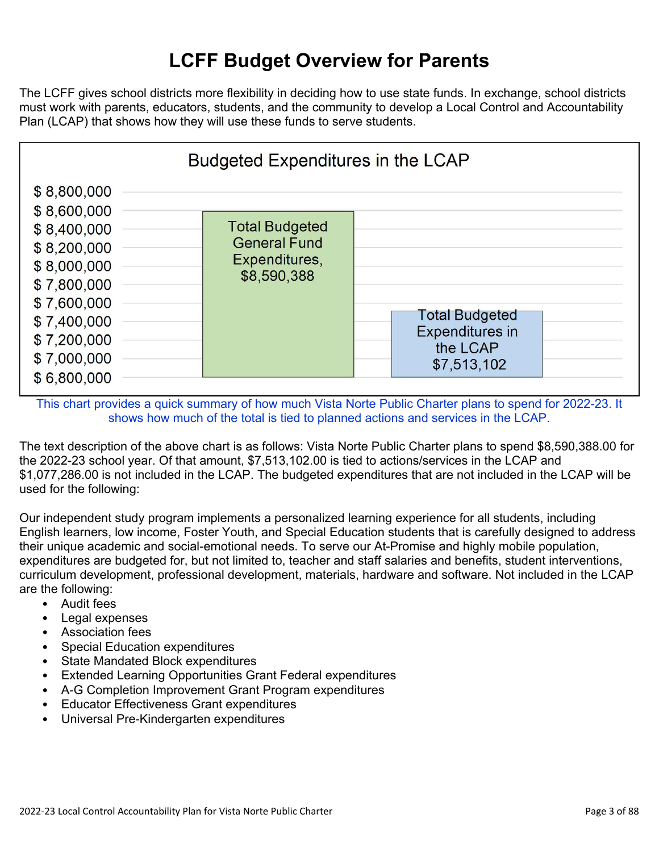### **LCFF Budget Overview for Parents**

The LCFF gives school districts more flexibility in deciding how to use state funds. In exchange, school districts must work with parents, educators, students, and the community to develop a Local Control and Accountability Plan (LCAP) that shows how they will use these funds to serve students.



This chart provides a quick summary of how much Vista Norte Public Charter plans to spend for 2022-23. It shows how much of the total is tied to planned actions and services in the LCAP.

The text description of the above chart is as follows: Vista Norte Public Charter plans to spend \$8,590,388.00 for the 2022-23 school year. Of that amount, \$7,513,102.00 is tied to actions/services in the LCAP and \$1,077,286.00 is not included in the LCAP. The budgeted expenditures that are not included in the LCAP will be used for the following:

Our independent study program implements a personalized learning experience for all students, including English learners, low income, Foster Youth, and Special Education students that is carefully designed to address their unique academic and social-emotional needs. To serve our At-Promise and highly mobile population, expenditures are budgeted for, but not limited to, teacher and staff salaries and benefits, student interventions, curriculum development, professional development, materials, hardware and software. Not included in the LCAP are the following:

- Audit fees
- Legal expenses
- Association fees
- Special Education expenditures
- State Mandated Block expenditures
- Extended Learning Opportunities Grant Federal expenditures
- A-G Completion Improvement Grant Program expenditures
- Educator Effectiveness Grant expenditures
- Universal Pre-Kindergarten expenditures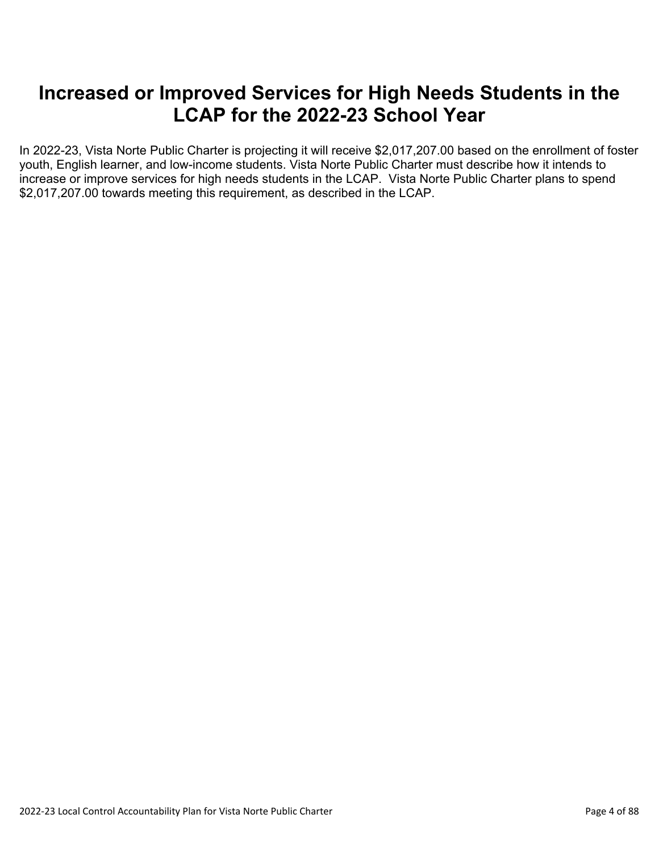#### **Increased or Improved Services for High Needs Students in the LCAP for the 2022-23 School Year**

In 2022-23, Vista Norte Public Charter is projecting it will receive \$2,017,207.00 based on the enrollment of foster youth, English learner, and low-income students. Vista Norte Public Charter must describe how it intends to increase or improve services for high needs students in the LCAP. Vista Norte Public Charter plans to spend \$2,017,207.00 towards meeting this requirement, as described in the LCAP.